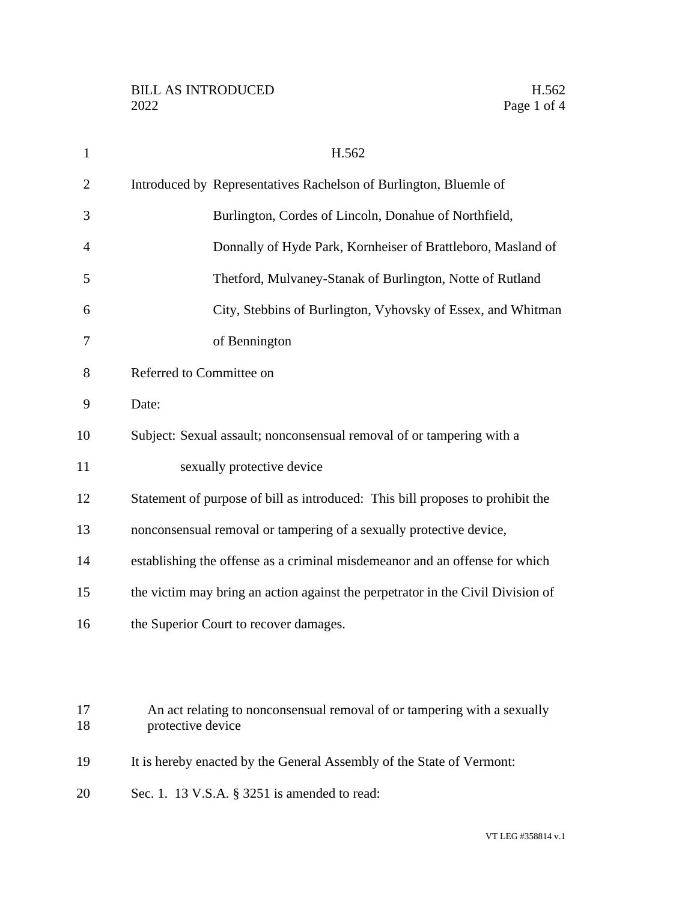| $\mathbf{1}$ | H.562                                                                                         |
|--------------|-----------------------------------------------------------------------------------------------|
| 2            | Introduced by Representatives Rachelson of Burlington, Bluemle of                             |
| 3            | Burlington, Cordes of Lincoln, Donahue of Northfield,                                         |
| 4            | Donnally of Hyde Park, Kornheiser of Brattleboro, Masland of                                  |
| 5            | Thetford, Mulvaney-Stanak of Burlington, Notte of Rutland                                     |
| 6            | City, Stebbins of Burlington, Vyhovsky of Essex, and Whitman                                  |
| 7            | of Bennington                                                                                 |
| 8            | Referred to Committee on                                                                      |
| 9            | Date:                                                                                         |
| 10           | Subject: Sexual assault; nonconsensual removal of or tampering with a                         |
| 11           | sexually protective device                                                                    |
| 12           | Statement of purpose of bill as introduced: This bill proposes to prohibit the                |
| 13           | nonconsensual removal or tampering of a sexually protective device,                           |
| 14           | establishing the offense as a criminal misdemeanor and an offense for which                   |
| 15           | the victim may bring an action against the perpetrator in the Civil Division of               |
| 16           | the Superior Court to recover damages.                                                        |
|              |                                                                                               |
|              |                                                                                               |
| 17<br>18     | An act relating to nonconsensual removal of or tampering with a sexually<br>protective device |
| 19           | It is hereby enacted by the General Assembly of the State of Vermont:                         |
| 20           | Sec. 1. 13 V.S.A. § 3251 is amended to read:                                                  |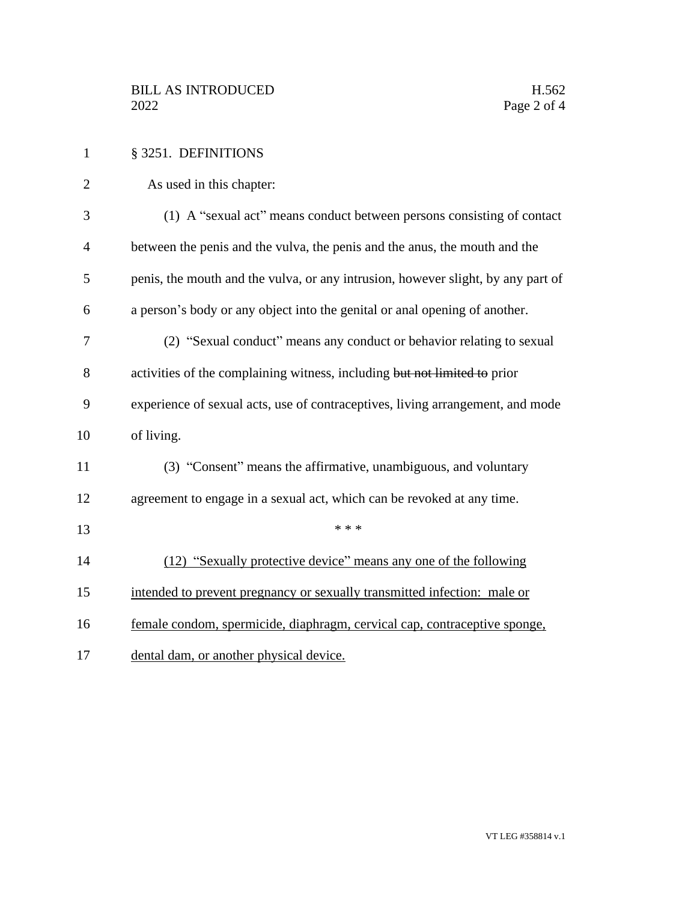| $\mathbf{1}$   | § 3251. DEFINITIONS                                                              |
|----------------|----------------------------------------------------------------------------------|
| $\overline{2}$ | As used in this chapter:                                                         |
| 3              | (1) A "sexual act" means conduct between persons consisting of contact           |
| $\overline{4}$ | between the penis and the vulva, the penis and the anus, the mouth and the       |
| 5              | penis, the mouth and the vulva, or any intrusion, however slight, by any part of |
| 6              | a person's body or any object into the genital or anal opening of another.       |
| 7              | (2) "Sexual conduct" means any conduct or behavior relating to sexual            |
| 8              | activities of the complaining witness, including but not limited to prior        |
| 9              | experience of sexual acts, use of contraceptives, living arrangement, and mode   |
| 10             | of living.                                                                       |
| 11             | (3) "Consent" means the affirmative, unambiguous, and voluntary                  |
| 12             | agreement to engage in a sexual act, which can be revoked at any time.           |
| 13             | * * *                                                                            |
| 14             | (12) "Sexually protective device" means any one of the following                 |
| 15             | intended to prevent pregnancy or sexually transmitted infection: male or         |
| 16             | female condom, spermicide, diaphragm, cervical cap, contraceptive sponge,        |
| 17             | dental dam, or another physical device.                                          |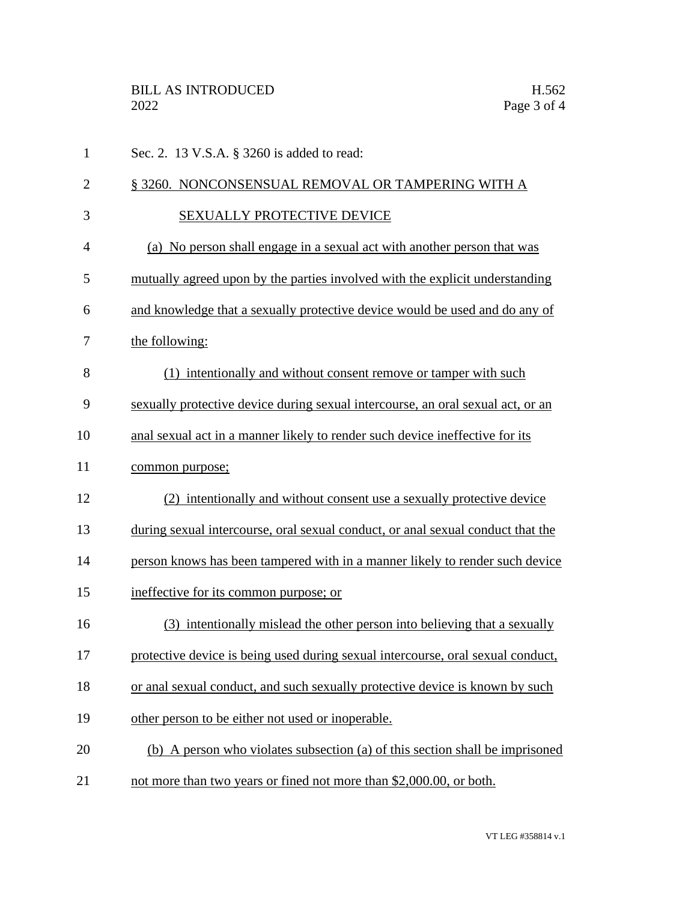| $\mathbf{1}$   | Sec. 2. 13 V.S.A. § 3260 is added to read:                                      |
|----------------|---------------------------------------------------------------------------------|
| $\overline{2}$ | § 3260. NONCONSENSUAL REMOVAL OR TAMPERING WITH A                               |
| 3              | SEXUALLY PROTECTIVE DEVICE                                                      |
| $\overline{4}$ | (a) No person shall engage in a sexual act with another person that was         |
| 5              | mutually agreed upon by the parties involved with the explicit understanding    |
| 6              | and knowledge that a sexually protective device would be used and do any of     |
| 7              | the following:                                                                  |
| 8              | (1) intentionally and without consent remove or tamper with such                |
| 9              | sexually protective device during sexual intercourse, an oral sexual act, or an |
| 10             | anal sexual act in a manner likely to render such device ineffective for its    |
| 11             | common purpose;                                                                 |
| 12             | (2) intentionally and without consent use a sexually protective device          |
| 13             | during sexual intercourse, oral sexual conduct, or anal sexual conduct that the |
| 14             | person knows has been tampered with in a manner likely to render such device    |
| 15             | ineffective for its common purpose; or                                          |
| 16             | (3) intentionally mislead the other person into believing that a sexually       |
| 17             | protective device is being used during sexual intercourse, oral sexual conduct, |
| 18             | or anal sexual conduct, and such sexually protective device is known by such    |
| 19             | other person to be either not used or inoperable.                               |
| 20             | (b) A person who violates subsection (a) of this section shall be imprisoned    |
| 21             | not more than two years or fined not more than \$2,000.00, or both.             |